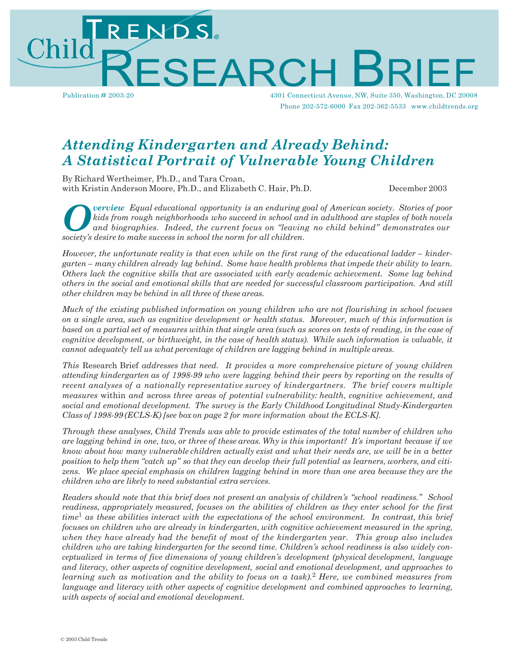RESEARCH B Publication # 2003-20 R IE F

4301 Connecticut Avenue, NW, Suite 350, Washingto n, DC 20008 Phone 202-572-6000 Fax 202-362-5533 www.childtrends.org

# *Attending Kindergarten and Already Behind: A Statistical Portrait of Vulnerable Young Children*

By Richard Wertheimer, Ph.D., and Tara Croan, with Kristin Anderson Moore, Ph.D., and Elizabeth C. Hair, Ph.D. December 2003

*O society's desire to make success in school the norm for all children.*<br> *Society's desire to make success in school the norm for all children. verview Equal educational opportunity is an enduring goal of American society. Stories of poor kids from rough neighborhoods who succeed in school and in adulthood are staples of both novels and biographies. Indeed, the current focus on "leaving no child behind" demonstrates our*

However, the unfortunate reality is that even while on the first rung of the educational ladder – kinder*garten – many children already lag behind. Some have health problems that impede their ability to learn. Others lack the cognitive skills that are associated with early academic achievement. Some lag behind others in the social and emotional skills that are needed for successful classroom participation. And still other children may be behind in all three of these areas.*

*Much of the existing published information on young children who are not flourishing in school focuses on a single area, such as cognitive development or health status. Moreover, much of this information is*  based on a partial set of measures within that single area (such as scores on tests of reading, in the case of *cognitive development, or birthweight, in the case of health status). While such information is valuable, it cannot adequately tell us what percentage of children are lagging behind in multiple areas.*

*This* Research Brief *addresses that need. It provides a more comprehensive picture of young children attending kindergarten as of 1998-99 who were lagging behind their peers by reporting on the results of recent analyses of a nationally representative survey of kindergartners. The brief covers multiple measures* within *and* across *three areas of potential vulnerability: health, cognitive achievement, and social and emotional development. The survey is the Early Childhood Longitudinal Study-Kindergarten Class of 1998-99 (ECLS-K) [see box on page 2 for more information about the ECLS-K].*

*Through these analyses, Child Trends was able to provide estimates of the total number of children who*  are lagging behind in one, two, or three of these areas. Why is this important? It's important because if we know about how many vulnerable children actually exist and what their needs are, we will be in a better position to help them "catch up" so that they can develop their full potential as learners, workers, and citi*zens. We place special emphasis on children lagging behind in more than one area because they are the children who are likely to need substantial extra services.*

*Readers should note that this brief does not present an analysis of children's "school readiness." School readiness, appropriately measured, focuses on the abilities of children as they enter school for the first time*<sup>1</sup> *as these abilities interact with the expectations of the school environment. In contrast, this brief focuses on children who are already in kindergarten, with cognitive achievement measured in the spring, when they have already had the benefit of most of the kindergarten year. This group also includes children who are taking kindergarten for the second time. Children's school readiness is also widely conceptualized in terms of five dimensions of young children's development (physical development, language and literacy, other aspects of cognitive development, social and emotional development, and approaches to learning such as motivation and the ability to focus on a task).*<sup>2</sup> *Here, we combined measures from language and literacy with other aspects of cognitive development and combined approaches to learning, with aspects of social and emotional development.*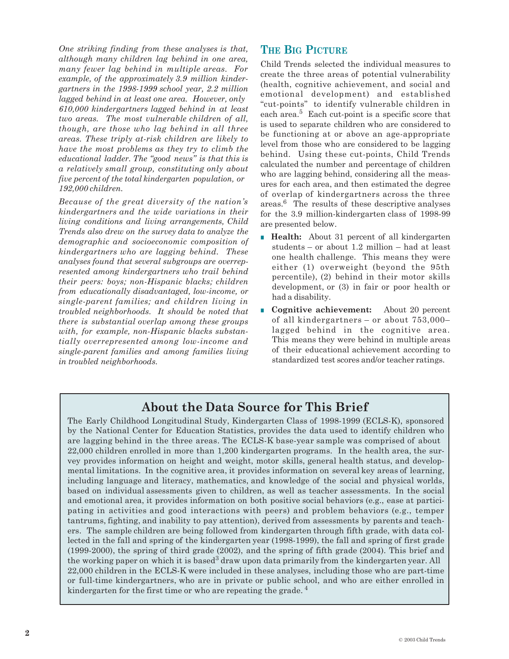*One striking finding from these analyses is that, although many children lag behind in one area, many fewer lag behind in multiple areas. For example, of the approximately 3.9 million kindergartners in the 1998-1999 school year, 2.2 million lagged behind in at least one area. However, only 610,000 kindergartners lagged behind in at least two areas. The most vulnerable children of all, though, are those who lag behind in all three areas. These triply at-risk children are likely to have the most problems as they try to climb the educational ladder. The "good news" is that this is a relatively small group, constituting only about five percent of the total kindergarten population, or 192,000 children.*

*Because of the great diversity of the nation's kindergartners and the wide variations in their living conditions and living arrangements, Child Trends also drew on the survey data to analyze the demographic and socioeconomic composition of kindergartners who are lagging behind. These analyses found that several subgroups are overrepresented among kindergartners who trail behind their peers: boys; non-Hispanic blacks; children from educationally disadvantaged, low-income, or single-parent families; and children living in troubled neighborhoods. It should be noted that there is substantial overlap among these groups with, for example, non-Hispanic blacks substantially overrepresented among low-income and single-parent families and among families living in troubled neighborhoods.*

## **THE BIG PICTURE**

Child Trends selected the individual measures to create the three areas of potential vulnerability (health, cognitive achievement, and social and emotional development) and established "cut-points" to identify vulnerable children in each area.<sup>5</sup> Each cut-point is a specific score that is used to separate children who are considered to be functioning at or above an age-appropriate level from those who are considered to be lagging behind. Using these cut-points, Child Trends calculated the number and percentage of children who are lagging behind, considering all the measures for each area, and then estimated the degree of overlap of kindergartners across the three areas.6 The results of these descriptive analyses for the 3.9 million-kindergarten class of 1998-99 are presented below.

- **Health:** About 31 percent of all kindergarten students – or about 1.2 million – had at least one health challenge. This means they were either (1) overweight (beyond the 95th percentile), (2) behind in their motor skills development, or (3) in fair or poor health or had a disability.
- **Cognitive achievement:** About 20 percent of all kindergartners – or about 753,000– lagged behind in the cognitive area. This means they were behind in multiple areas of their educational achievement according to standardized test scores and/or teacher ratings.

## **About the Data Source for This Brief**

The Early Childhood Longitudinal Study, Kindergarten Class of 1998-1999 (ECLS-K), sponsored by the National Center for Education Statistics, provides the data used to identify children who are lagging behind in the three areas. The ECLS-K base-year sample was comprised of about 22,000 children enrolled in more than 1,200 kindergarten programs. In the health area, the survey provides information on height and weight, motor skills, general health status, and developmental limitations. In the cognitive area, it provides information on several key areas of learning, including language and literacy, mathematics, and knowledge of the social and physical worlds, based on individual assessments given to children, as well as teacher assessments. In the social and emotional area, it provides information on both positive social behaviors (e.g., ease at participating in activities and good interactions with peers) and problem behaviors (e.g., temper tantrums, fighting, and inability to pay attention), derived from assessments by parents and teachers. The sample children are being followed from kindergarten through fifth grade, with data collected in the fall and spring of the kindergarten year (1998-1999), the fall and spring of first grade (1999-2000), the spring of third grade (2002), and the spring of fifth grade (2004). This brief and the working paper on which it is based<sup>3</sup> draw upon data primarily from the kindergarten year. All 22,000 children in the ECLS-K were included in these analyses, including those who are part-time or full-time kindergartners, who are in private or public school, and who are either enrolled in kindergarten for the first time or who are repeating the grade. <sup>4</sup>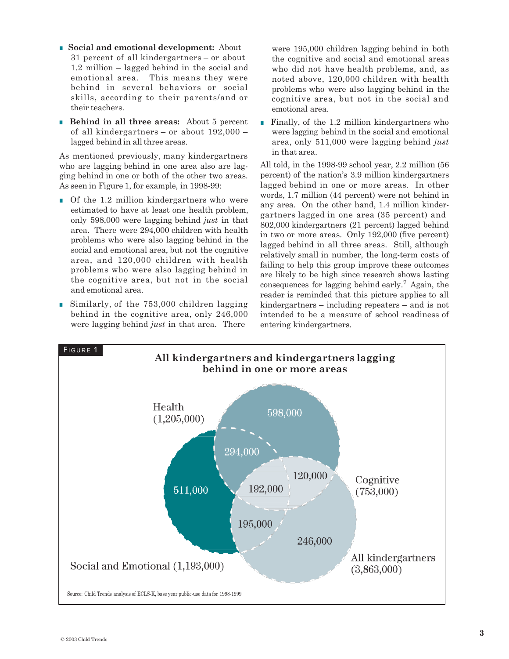- **Social and emotional development:** About 31 percent of all kindergartners – or about 1.2 million – lagged behind in the social and emotional area. This means they were behind in several behaviors or social skills, according to their parents/and or their teachers.
- **Behind in all three areas:** About 5 percent of all kindergartners – or about 192,000 – lagged behind in all three areas.

As mentioned previously, many kindergartners who are lagging behind in one area also are lagging behind in one or both of the other two areas. As seen in Figure 1, for example, in 1998-99:

- Of the 1.2 million kindergartners who were estimated to have at least one health problem, only 598,000 were lagging behind *just* in that area. There were 294,000 children with health problems who were also lagging behind in the social and emotional area, but not the cognitive area, and 120,000 children with health problems who were also lagging behind in the cognitive area, but not in the social and emotional area.
- Similarly, of the 753,000 children lagging behind in the cognitive area, only 246,000 were lagging behind *just* in that area. There

were 195,000 children lagging behind in both the cognitive and social and emotional areas who did not have health problems, and, as noted above, 120,000 children with health problems who were also lagging behind in the cognitive area, but not in the social and emotional area.

■ Finally, of the 1.2 million kindergartners who were lagging behind in the social and emotional area, only 511,000 were lagging behind *just*  in that area.

All told, in the 1998-99 school year, 2.2 million (56 percent) of the nation's 3.9 million kindergartners lagged behind in one or more areas. In other words, 1.7 million (44 percent) were not behind in any area. On the other hand, 1.4 million kindergartners lagged in one area (35 percent) and 802,000 kindergartners (21 percent) lagged behind in two or more areas. Only 192,000 (five percent) lagged behind in all three areas. Still, although relatively small in number, the long-term costs of failing to help this group improve these outcomes are likely to be high since research shows lasting consequences for lagging behind early.<sup>7</sup> Again, the reader is reminded that this picture applies to all kindergartners – including repeaters – and is not intended to be a measure of school readiness of entering kindergartners.

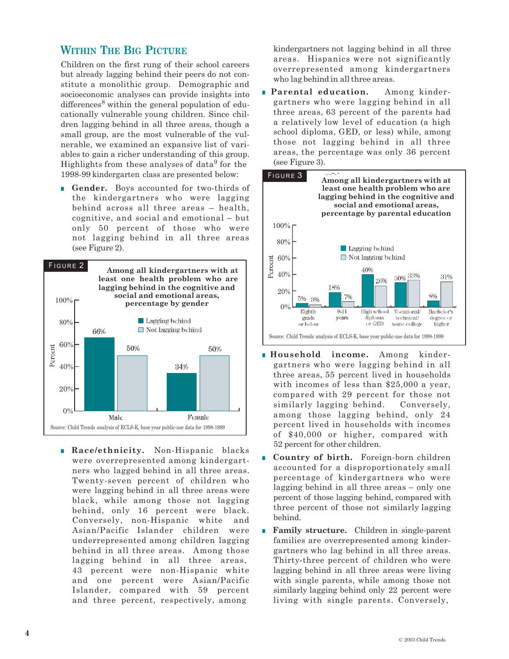### **WITHIN THE BIG PICTURE**

Children on the first rung of their school careers but already lagging behind their peers do not constitute a monolithic group. Demographic and socioeconomic analyses can provide insights into differences<sup>8</sup> within the general population of educationally vulnerable young children. Since children lagging behind in all three areas, though a small group, are the most vulnerable of the vulnerable, we examined an expansive list of variables to gain a richer understanding of this group. Highlights from these analyses of data<sup>9</sup> for the 1998-99 kindergarten class are presented below:

■ **Gender.** Boys accounted for two-thirds of the kindergartners who were lagging behind across all three areas – health, cognitive, and social and emotional – but only 50 percent of those who were not lagging behind in all three areas (see Figure 2).



■ **Race/ethnicity.** Non-Hispanic blacks were overrepresented among kindergartners who lagged behind in all three areas. Twenty-seven percent of children who were lagging behind in all three areas were black, while among those not lagging behind, only 16 percent were black. Conversely, non-Hispanic white and Asian/Pacific Islander children were underrepresented among children lagging behind in all three areas. Among those lagging behind in all three areas, 43 percent were non-Hispanic white and one percent were Asian/Pacific Islander, compared with 59 percent and three percent, respectively, among

kindergartners not lagging behind in all three areas. Hispanics were not significantly overrepresented among kindergartners who lag behind in all three areas.

■ **Parental education.** Among kindergartners who were lagging behind in all three areas, 63 percent of the parents had a relatively low level of education (a high school diploma, GED, or less) while, among those not lagging behind in all three areas, the percentage was only 36 percent (see Figure 3).



- **Household income.** Among kindergartners who were lagging behind in all three areas, 55 percent lived in households with incomes of less than \$25,000 a year, compared with 29 percent for those not similarly lagging behind. Conversely, among those lagging behind, only 24 percent lived in households with incomes of \$40,000 or higher, compared with 52 percent for other children.
- **Country of birth.** Foreign-born children accounted for a disproportionately small percentage of kindergartners who were lagging behind in all three areas – only one percent of those lagging behind, compared with three percent of those not similarly lagging behind.
- **Family structure.** Children in single-parent families are overrepresented among kindergartners who lag behind in all three areas. Thirty-three percent of children who were lagging behind in all three areas were living with single parents, while among those not similarly lagging behind only 22 percent were living with single parents. Conversely,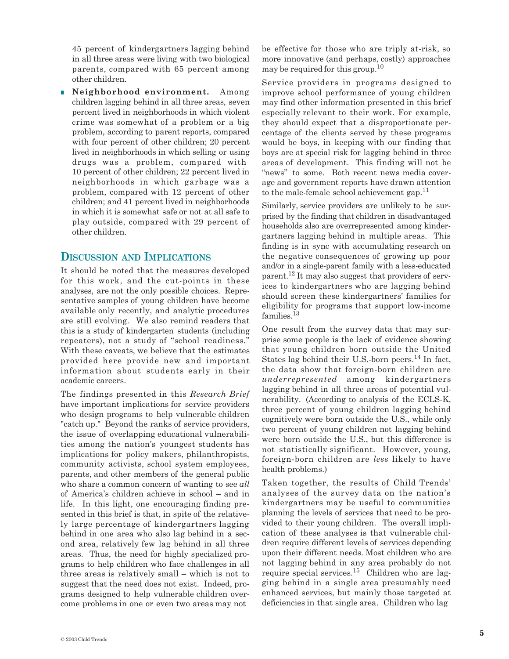45 percent of kindergartners lagging behind in all three areas were living with two biological parents, compared with 65 percent among other children.

■ **Neighborhood environment.** Among children lagging behind in all three areas, seven percent lived in neighborhoods in which violent crime was somewhat of a problem or a big problem, according to parent reports, compared with four percent of other children; 20 percent lived in neighborhoods in which selling or using drugs was a problem, compared with 10 percent of other children; 22 percent lived in neighborhoods in which garbage was a problem, compared with 12 percent of other children; and 41 percent lived in neighborhoods in which it is somewhat safe or not at all safe to play outside, compared with 29 percent of other children.

#### **DISCUSSION AND IMPLICATIONS**

It should be noted that the measures developed for this work, and the cut-points in these analyses, are not the only possible choices. Representative samples of young children have become available only recently, and analytic procedures are still evolving. We also remind readers that this is a study of kindergarten students (including repeaters), not a study of "school readiness." With these caveats, we believe that the estimates provided here provide new and important information about students early in their academic careers.

The findings presented in this *Research Brief*  have important implications for service providers who design programs to help vulnerable children "catch up." Beyond the ranks of service providers, the issue of overlapping educational vulnerabilities among the nation's youngest students has implications for policy makers, philanthropists, community activists, school system employees, parents, and other members of the general public who share a common concern of wanting to see *all*  of America's children achieve in school – and in life. In this light, one encouraging finding presented in this brief is that, in spite of the relatively large percentage of kindergartners lagging behind in one area who also lag behind in a second area, relatively few lag behind in all three areas. Thus, the need for highly specialized programs to help children who face challenges in all three areas is relatively small – which is not to suggest that the need does not exist. Indeed, programs designed to help vulnerable children overcome problems in one or even two areas may not

be effective for those who are triply at-risk, so more innovative (and perhaps, costly) approaches may be required for this group. 10

Service providers in programs designed to improve school performance of young children may find other information presented in this brief especially relevant to their work. For example, they should expect that a disproportionate percentage of the clients served by these programs would be boys, in keeping with our finding that boys are at special risk for lagging behind in three areas of development. This finding will not be "news" to some. Both recent news media coverage and government reports have drawn attention to the male-female school achievement gap.<sup>11</sup>

Similarly, service providers are unlikely to be surprised by the finding that children in disadvantaged households also are overrepresented among kindergartners lagging behind in multiple areas. This finding is in sync with accumulating research on the negative consequences of growing up poor and/or in a single-parent family with a less-educated parent. <sup>12</sup> It may also suggest that providers of services to kindergartners who are lagging behind should screen these kindergartners' families for eligibility for programs that support low-income families.<sup>13</sup>

One result from the survey data that may surprise some people is the lack of evidence showing that young children born outside the United States lag behind their U.S.-born peers.<sup>14</sup> In fact, the data show that foreign-born children are *underrepresented* among kindergartners lagging behind in all three areas of potential vulnerability. (According to analysis of the ECLS-K, three percent of young children lagging behind cognitively were born outside the U.S., while only two percent of young children not lagging behind were born outside the U.S., but this difference is not statistically significant. However, young, foreign-born children are *less* likely to have health problems.)

Taken together, the results of Child Trends' analyses of the survey data on the nation's kindergartners may be useful to communities planning the levels of services that need to be provided to their young children. The overall implication of these analyses is that vulnerable children require different levels of services depending upon their different needs. Most children who are not lagging behind in any area probably do not require special services.15 Children who are lagging behind in a single area presumably need enhanced services, but mainly those targeted at deficiencies in that single area. Children who lag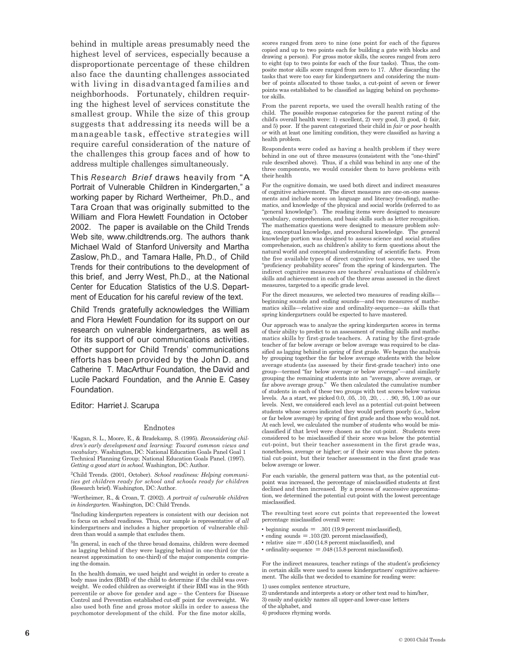behind in multiple areas presumably need the highest level of services, especially because a disproportionate percentage of these children also face the daunting challenges associated with living in disadvantaged families and neighborhoods. Fortunately, children requiring the highest level of services constitute the smallest group. While the size of this group suggests that addressing its needs will be a manageable task, effective strategies will require careful consideration of the nature of the challenges this group faces and of how to address multiple challenges simultaneously.

This *Research Brief* draws heavily from "A Portrait of Vulnerable Children in Kindergarten," a working paper by Richard Wertheimer, Ph.D., and Tara Croan that was originally submitted to the William and Flora Hewlett Foundation in October 2002. The paper is available on the Child Trends Web site, www.childtrends.org. The authors thank Michael Wald of Stanford University and Martha Zaslow, Ph.D., and Tamara Halle, Ph.D., of Child Trends for their contributions to the development of this brief, and Jerry West, Ph.D., at the National Center for Education Statistics of the U.S. Department of Education for his careful review of the text.

Child Trends gratefully acknowledges the William and Flora Hewlett Foundation for its support on our research on vulnerable kindergartners, as well as for its support of our communications activities. Other support for Child Trends' communications efforts has been provided by the John D. and Catherine T. MacArthur Foundation, the David and Lucile Packard Foundation, and the Annie E. Casey Foundation.

Editor: Harriet J. Scarupa

#### Endnotes

1Kagan, S. L., Moore, E., & Bradekamp, S. (1995). *Reconsidering children's early development and learning: Toward common views and vocabulary.* Washington, DC: National Education Goals Panel Goal 1 Technical Planning Group; National Education Goals Panel. (1997). *Getting a good start in school.* Washington, DC: Author.

2Child Trends. (2001, October). *School readiness: Helping communities get children ready for school and schools ready for children*  (Research brief). Washington, DC: Author.

3Wertheimer, R., & Croan, T. (2002). *A portrait of vulnerable children in kindergarten.* Washington, DC: Child Trends.

4Including kindergarten repeaters is consistent with our decision not to focus on school readiness. Thus, our sample is representative of *all*  kindergartners and includes a higher proportion of vulnerable children than would a sample that excludes them.

5In general, in each of the three broad domains, children were deemed as lagging behind if they were lagging behind in one-third (or the nearest approximation to one-third) of the major components comprising the domain.

In the health domain, we used height and weight in order to create a body mass index (BMI) of the child to determine if the child was overweight. We coded children as overweight if their BMI was in the 95th percentile or above for gender and age – the Centers for Disease Control and Prevention established cut-off point for overweight. We also used both fine and gross motor skills in order to assess the psychomotor development of the child. For the fine motor skills,

scores ranged from zero to nine (one point for each of the figures copied and up to two points each for building a gate with blocks and drawing a person). For gross motor skills, the scores ranged from zero to eight (up to two points for each of the four tasks). Thus, the composite motor skills score ranged from zero to 17. After discarding the tasks that were too easy for kindergartners and considering the number of points allocated to those tasks, a cut-point of seven or fewer points was established to be classified as lagging behind on psychomotor skills.

From the parent reports, we used the overall health rating of the child. The possible response categories for the parent rating of the child's overall health were: 1) excellent, 2) very good, 3) good, 4) fair, and 5) poor. If the parent categorized their child in *fair* or *poor* health *or* with at least one limiting condition, they were classified as having a health problem.

Respondents were coded as having a health problem if they were behind in one out of three measures (consistent with the "one-third" rule described above). Thus, if a child was behind in any one of the three components, we would consider them to have problems with their health

For the cognitive domain, we used both direct and indirect measures of cognitive achievement. The direct measures are one-on-one assessments and include scores on language and literacy (reading), mathematics, and knowledge of the physical and social worlds (referred to as "general knowledge"). The reading items were designed to measure vocabulary, comprehension, and basic skills such as letter recognition. The mathematics questions were designed to measure problem solving, conceptual knowledge, and procedural knowledge. The general knowledge portion was designed to assess science and social studies comprehension, such as children's ability to form questions about the natural world and conceptual understanding of scientific facts. From the five available types of direct cognitive test scores, we used the "proficiency probability scores" from the spring of kindergarten. The indirect cognitive measures are teachers' evaluations of children's skills and achievement in each of the three areas assessed in the direct measures, targeted to a specific grade level.

For the direct measures, we selected two measures of reading skills beginning sounds and ending sounds—and two measures of mathematics skills—relative size and ordinality-sequence—as skills that spring kindergartners could be expected to have mastered.

Our approach was to analyze the spring kindergarten scores in terms of their ability to predict to an assessment of reading skills and mathematics skills by first-grade teachers. A rating by the first-grade teacher of far below average or below average was required to be classified as lagging behind in spring of first grade. We began the analysis by grouping together the far below average students with the below average students (as assessed by their first-grade teacher) into one group—termed "far below average or below average"—and similarly grouping the remaining students into an "average, above average, or far above average group." We then calculated the cumulative number of students in each of these two groups with test scores below various levels. As a start, we picked 0.0, .05, .10, .20, . . . .90, .95, 1.00 as our levels. Next, we considered each level as a potential cut-point between students whose scores indicated they would perform poorly (i.e., below or far below average) by spring of first grade and those who would not. At each level, we calculated the number of students who would be misclassified if that level were chosen as the cut-point. Students were considered to be misclassified if their score was below the potential cut-point, but their teacher assessment in the first grade was, nonetheless, average or higher; or if their score was above the potential cut-point, but their teacher assessment in the first grade was below average or lower.

For each variable, the general pattern was that, as the potential cutpoint was increased, the percentage of misclassified students at first declined and then increased. By a process of successive approximation, we determined the potential cut-point with the lowest percentage misclassified.

The resulting test score cut points that represented the lowest percentage misclassified overall were:

• beginning sounds = .301 (19.9 percent misclassified),

 $\cdot$  ending sounds  $= .103 (20.$  percent misclassified),

 $\cdot$  relative size  $=$  .450 (14.8 percent misclassified), and

 $\cdot$  ordinality-sequence = .048 (15.8 percent misclassified).

For the indirect measures, teacher ratings of the student's proficiency in certain skills were used to assess kindergartners' cognitive achievement. The skills that we decided to examine for reading were:

1) uses complex sentence structure,

2) understands and interprets a story or other text read to him/her,

3) easily and quickly names all upper-and lower-case letters

of the alphabet, and

4) produces rhyming words.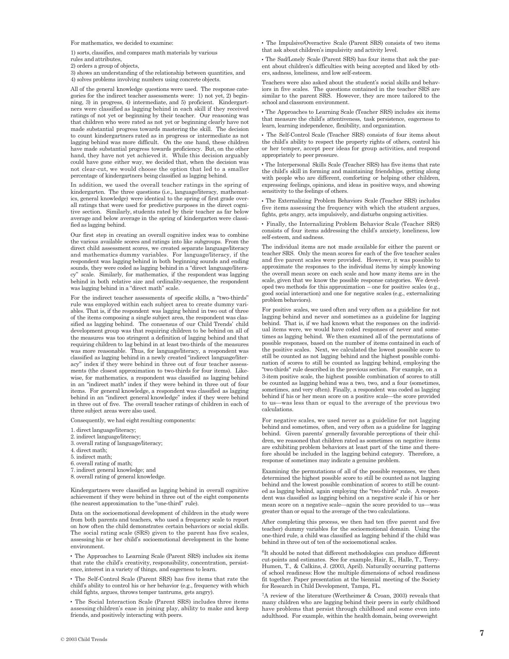For mathematics, we decided to examine:

1) sorts, classifies, and compares math materials by various

rules and attributes, 2) orders a group of objects,

3) shows an understanding of the relationship between quantities, and 4) solves problems involving numbers using concrete objects.

All of the general knowledge questions were used. The response categories for the indirect teacher assessments were: 1) not yet, 2) beginning, 3) in progress, 4) intermediate, and 5) proficient. Kindergartners were classified as lagging behind in each skill if they received ratings of not yet or beginning by their teacher. Our reasoning was that children who were rated as not yet or beginning clearly have not made substantial progress towards mastering the skill. The decision to count kindergartners rated as in progress or intermediate as not lagging behind was more difficult. On the one hand, these children have made substantial progress towards proficiency. But, on the other hand, they have not yet achieved it. While this decision arguably could have gone either way, we decided that, when the decision was not clear-cut, we would choose the option that led to a smaller percentage of kindergartners being classified as lagging behind.

In addition, we used the overall teacher ratings in the spring of kindergarten. The three questions (i.e., language/literacy, mathematics, general knowledge) were identical to the spring of first grade overall ratings that were used for predictive purposes in the direct cognitive section. Similarly, students rated by their teacher as far below average and below average in the spring of kindergarten were classified as lagging behind.

Our first step in creating an overall cognitive index was to combine the various available scores and ratings into like subgroups. From the direct child assessment scores, we created separate language/literacy and mathematics dummy variables. For language/literacy, if the respondent was lagging behind in both beginning sounds and ending sounds, they were coded as lagging behind in a "direct language/literacy" scale. Similarly, for mathematics, if the respondent was lagging behind in both relative size and ordinality-sequence, the respondent was lagging behind in a "direct math" scale.

For the indirect teacher assessments of specific skills, a "two-thirds" rule was employed within each subject area to create dummy variables. That is, if the respondent was lagging behind in two out of three of the items composing a single subject area, the respondent was classified as lagging behind. The consensus of our Child Trends' child development group was that requiring children to be behind on all of the measures was too stringent a definition of lagging behind and that requiring children to lag behind in at least two-thirds of the measures was more reasonable. Thus, for language/literacy, a respondent was classified as lagging behind in a newly created "indirect language/literacy" index if they were behind in three out of four teacher assess ments (the closest approximation to two-thirds for four items). Likewise, for mathematics, a respondent was classified as lagging behind in an "indirect math" index if they were behind in three out of four items. For general knowledge, a respondent was classified as lagging behind in an "indirect general knowledge" index if they were behind in three out of five. The overall teacher ratings of children in each of three subject areas were also used.

Consequently, we had eight resulting components:

- 1. direct language/literacy;
- 2. indirect language/literacy;
- 3. overall rating of language/literacy;
- 4. direct math;
- 5. indirect math;
- 6. overall rating of math;
- 7. indirect general knowledge; and
- 8. overall rating of general knowledge.

Kindergartners were classified as lagging behind in overall cognitive achievement if they were behind in three out of the eight components (the nearest approximation to the "one-third" rule).

Data on the socioemotional development of children in the study were from both parents and teachers, who used a frequency scale to report on how often the child demonstrates certain behaviors or social skills. The social rating scale (SRS) given to the parent has five scales, assessing his or her child's socioemotional development in the home environment.

■ The Approaches to Learning Scale (Parent SRS) includes six items that rate the child's creativity, responsibility, concentration, persistence, interest in a variety of things, and eagerness to learn.

■ The Self-Control Scale (Parent SRS) has five items that rate the child's ability to control his or her behavior (e.g., frequency with which child fights, argues, throws temper tantrums, gets angry).

■ The Social Interaction Scale (Parent SRS) includes three items assessing children's ease in joining play, ability to make and keep friends, and positively interacting with peers.

■ The Impulsive/Overactive Scale (Parent SRS) consists of two items that ask about children's impulsivity and activity level.

■ The Sad/Lonely Scale (Parent SRS) has four items that ask the parent about children's difficulties with being accepted and liked by others, sadness, loneliness, and low self-esteem.

Teachers were also asked about the student's social skills and behaviors in five scales. The questions contained in the teacher SRS are similar to the parent SRS. However, they are more tailored to the school and classroom environment.

■ The Approaches to Learning Scale (Teacher SRS) includes six items that measure the child's attentiveness, task persistence, eagerness to learn, learning independence, flexibility, and organization.

■ The Self-Control Scale (Teacher SRS) consists of four items about the child's ability to respect the property rights of others, control his or her temper, accept peer ideas for group activities, and respond appropriately to peer pressure.

■ The Interpersonal Skills Scale (Teacher SRS) has five items that rate the child's skill in forming and maintaining friendships, getting along with people who are different, comforting or helping other children, expressing feelings, opinions, and ideas in positive ways, and showing sensitivity to the feelings of others.

■ The Externalizing Problem Behaviors Scale (Teacher SRS) includes five items assessing the frequency with which the student argues, fights, gets angry, acts impulsively, and disturbs ongoing activities.

■ Finally, the Internalizing Problem Behavior Scale (Teacher SRS) consists of four items addressing the child's anxiety, loneliness, low self-esteem, and sadness.

The individual items are not made available for either the parent or teacher SRS. Only the mean scores for each of the five teacher scales and five parent scales were provided. However, it was possible to approximate the responses to the individual items by simply knowing the overall mean score on each scale and how many items are in the scale, given that we know the possible response categories. We developed two methods for this approximation – one for positive scales (e.g., good social interaction) and one for negative scales (e.g., externalizing problem behaviors).

For positive scales, we used often and very often as a guideline for not lagging behind and never and sometimes as a guideline for lagging behind. That is, if we had known what the responses on the individual items were, we would have coded responses of never and sometimes as lagging behind. We then examined all of the permutations of possible responses, based on the number of items contained in each of the positive scales. Next, we calculated the lowest possible score to still be counted as not lagging behind and the highest possible combination of scores to still be counted as lagging behind, employing the "two-thirds" rule described in the previous section. For example, on a 3-item positive scale, the highest possible combination of scores to still be counted as lagging behind was a two, two, and a four (sometimes, sometimes, and very often). Finally, a respondent was coded as lagging behind if his or her mean score on a positive scale—the score provided to us—was less than or equal to the average of the previous two calculations.

For negative scales, we used never as a guideline for not lagging behind and sometimes, often, and very often as a guideline for lagging behind. Given parents' generally favorable perceptions of their children, we reasoned that children rated as sometimes on negative items are exhibiting problem behaviors at least part of the time and therefore should be included in the lagging behind category. Therefore, a response of sometimes may indicate a genuine problem.

Examining the permutations of all of the possible responses, we then determined the highest possible score to still be counted as not lagging behind and the lowest possible combination of scores to still be counted as lagging behind, again employing the "two-thirds" rule. A respondent was classified as lagging behind on a negative scale if his or her mean score on a negative scale—again the score provided to us—was greater than or equal to the average of the two calculations.

After completing this process, we then had ten (five parent and five teacher) dummy variables for the socioemotional domain. Using the one-third rule, a child was classified as lagging behind if the child was behind in three out of ten of the socioemotional scales.

<sup>6</sup>It should be noted that different methodologies can produce different cut-points and estimates. See for example, Hair, E., Halle, T., Terry-Humen, T., & Calkins, J. (2003, April). Naturally occurring patterns of school readiness: How the multiple dimensions of school readiness fit together. Paper presentation at the biennial meeting of the Society for Research in Child Development, Tampa, FL.

7A review of the literature (Wertheimer & Croan, 2003) reveals that many children who are lagging behind their peers in early childhood have problems that persist through childhood and some even into adulthood. For example, within the health domain, being overweight